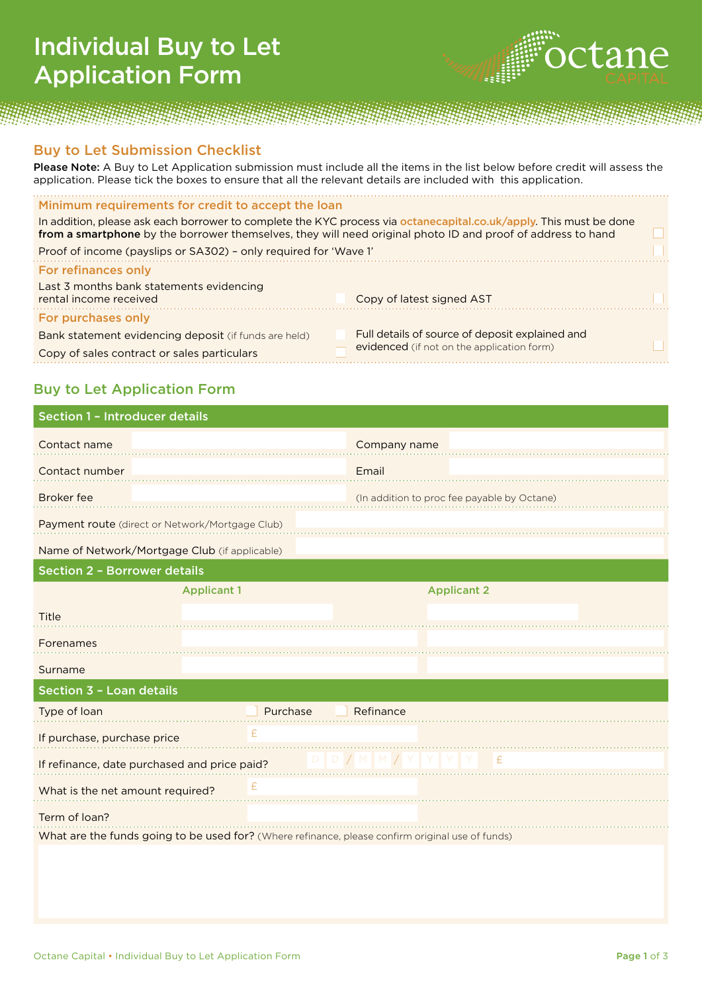## Individual Buy to Let Application Form



## Buy to Let Submission Checklist

Please Note: A Buy to Let Application submission must include all the items in the list below before credit will assess the application. Please tick the boxes to ensure that all the relevant details are included with this application.

## Minimum requirements for credit to accept the loan

In addition, please ask each borrower to complete the KYC process via octanecapital.co.uk/apply. This must be done from a smartphone by the borrower themselves, they will need original photo ID and proof of address to hand

| Proof of income (payslips or SA302) - only required for 'Wave 1'   |                                                 |  |
|--------------------------------------------------------------------|-------------------------------------------------|--|
| For refinances only                                                |                                                 |  |
| Last 3 months bank statements evidencing<br>rental income received | Copy of latest signed AST                       |  |
| For purchases only                                                 |                                                 |  |
| Bank statement evidencing deposit (if funds are held)              | Full details of source of deposit explained and |  |
| Copy of sales contract or sales particulars                        | evidenced (if not on the application form)      |  |
|                                                                    |                                                 |  |

## Buy to Let Application Form

| Section 1 - Introducer details                  |                    |                                                                                                  |  |  |  |  |
|-------------------------------------------------|--------------------|--------------------------------------------------------------------------------------------------|--|--|--|--|
| Contact name                                    |                    | Company name                                                                                     |  |  |  |  |
| Contact number                                  |                    | Email                                                                                            |  |  |  |  |
| <b>Broker</b> fee                               |                    | (In addition to proc fee payable by Octane)                                                      |  |  |  |  |
| Payment route (direct or Network/Mortgage Club) |                    |                                                                                                  |  |  |  |  |
| Name of Network/Mortgage Club (if applicable)   |                    |                                                                                                  |  |  |  |  |
| <b>Section 2 - Borrower details</b>             |                    |                                                                                                  |  |  |  |  |
|                                                 | <b>Applicant 1</b> | <b>Applicant 2</b>                                                                               |  |  |  |  |
| Title                                           |                    |                                                                                                  |  |  |  |  |
| Forenames                                       |                    |                                                                                                  |  |  |  |  |
| Surname                                         |                    |                                                                                                  |  |  |  |  |
| Section 3 - Loan details                        |                    |                                                                                                  |  |  |  |  |
| Type of loan                                    | Purchase           | Refinance                                                                                        |  |  |  |  |
| If purchase, purchase price                     | £                  |                                                                                                  |  |  |  |  |
| If refinance, date purchased and price paid?    |                    | D / M   M / Y   Y<br>£                                                                           |  |  |  |  |
| What is the net amount required?                | £                  |                                                                                                  |  |  |  |  |
| Term of loan?                                   |                    |                                                                                                  |  |  |  |  |
|                                                 |                    | What are the funds going to be used for? (Where refinance, please confirm original use of funds) |  |  |  |  |
|                                                 |                    |                                                                                                  |  |  |  |  |
|                                                 |                    |                                                                                                  |  |  |  |  |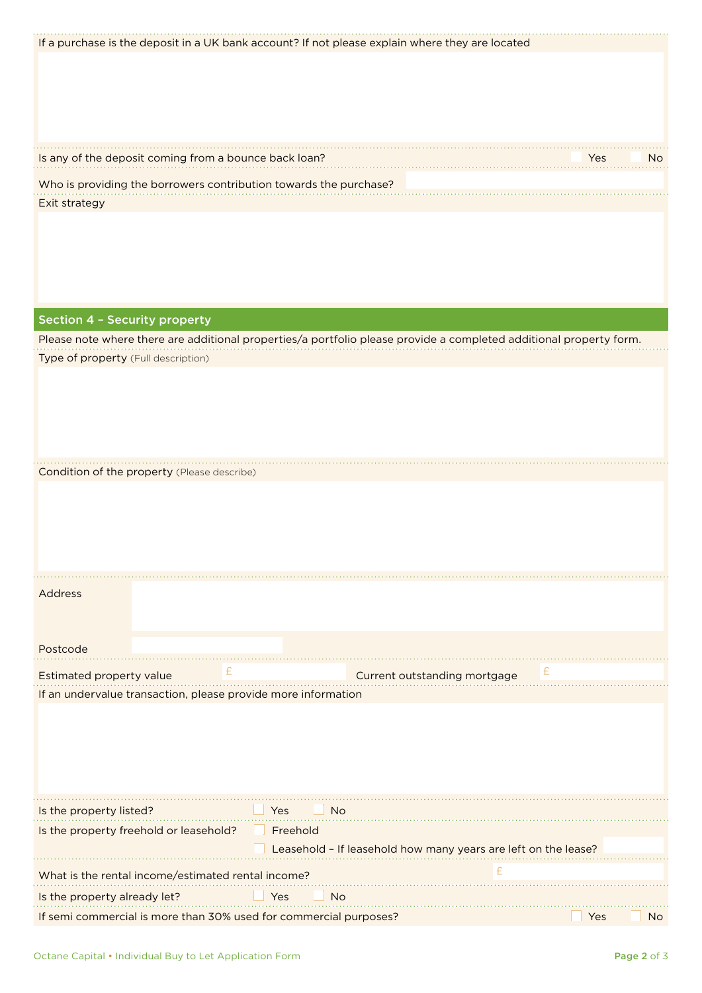| If a purchase is the deposit in a UK bank account? If not please explain where they are located |                                                                                                                    |                  |
|-------------------------------------------------------------------------------------------------|--------------------------------------------------------------------------------------------------------------------|------------------|
|                                                                                                 |                                                                                                                    |                  |
|                                                                                                 |                                                                                                                    |                  |
|                                                                                                 |                                                                                                                    |                  |
|                                                                                                 |                                                                                                                    |                  |
|                                                                                                 |                                                                                                                    |                  |
|                                                                                                 |                                                                                                                    |                  |
| Is any of the deposit coming from a bounce back loan?                                           |                                                                                                                    | Yes<br>No.       |
|                                                                                                 |                                                                                                                    |                  |
| Who is providing the borrowers contribution towards the purchase?                               |                                                                                                                    |                  |
| Exit strategy                                                                                   |                                                                                                                    |                  |
|                                                                                                 |                                                                                                                    |                  |
|                                                                                                 |                                                                                                                    |                  |
|                                                                                                 |                                                                                                                    |                  |
|                                                                                                 |                                                                                                                    |                  |
|                                                                                                 |                                                                                                                    |                  |
|                                                                                                 |                                                                                                                    |                  |
|                                                                                                 |                                                                                                                    |                  |
| <b>Section 4 - Security property</b>                                                            |                                                                                                                    |                  |
|                                                                                                 | Please note where there are additional properties/a portfolio please provide a completed additional property form. |                  |
| Type of property (Full description)                                                             |                                                                                                                    |                  |
|                                                                                                 |                                                                                                                    |                  |
|                                                                                                 |                                                                                                                    |                  |
|                                                                                                 |                                                                                                                    |                  |
|                                                                                                 |                                                                                                                    |                  |
|                                                                                                 |                                                                                                                    |                  |
|                                                                                                 |                                                                                                                    |                  |
|                                                                                                 |                                                                                                                    |                  |
| Condition of the property (Please describe)                                                     |                                                                                                                    |                  |
|                                                                                                 |                                                                                                                    |                  |
|                                                                                                 |                                                                                                                    |                  |
|                                                                                                 |                                                                                                                    |                  |
|                                                                                                 |                                                                                                                    |                  |
|                                                                                                 |                                                                                                                    |                  |
|                                                                                                 |                                                                                                                    |                  |
|                                                                                                 |                                                                                                                    |                  |
| Address                                                                                         |                                                                                                                    |                  |
|                                                                                                 |                                                                                                                    |                  |
|                                                                                                 |                                                                                                                    |                  |
| Postcode                                                                                        |                                                                                                                    |                  |
|                                                                                                 |                                                                                                                    |                  |
| Estimated property value                                                                        | Current outstanding mortgage                                                                                       |                  |
| If an undervalue transaction, please provide more information                                   |                                                                                                                    |                  |
|                                                                                                 |                                                                                                                    |                  |
|                                                                                                 |                                                                                                                    |                  |
|                                                                                                 |                                                                                                                    |                  |
|                                                                                                 |                                                                                                                    |                  |
|                                                                                                 |                                                                                                                    |                  |
|                                                                                                 |                                                                                                                    |                  |
|                                                                                                 |                                                                                                                    |                  |
| Is the property listed?<br>Yes                                                                  | No.                                                                                                                |                  |
| Is the property freehold or leasehold?                                                          | Freehold                                                                                                           |                  |
|                                                                                                 |                                                                                                                    |                  |
|                                                                                                 | Leasehold - If leasehold how many years are left on the lease?                                                     |                  |
| What is the rental income/estimated rental income?                                              | £                                                                                                                  |                  |
|                                                                                                 |                                                                                                                    |                  |
| Is the property already let?<br>Yes                                                             | <b>No</b>                                                                                                          |                  |
| If semi commercial is more than 30% used for commercial purposes?                               |                                                                                                                    | Yes<br><b>No</b> |